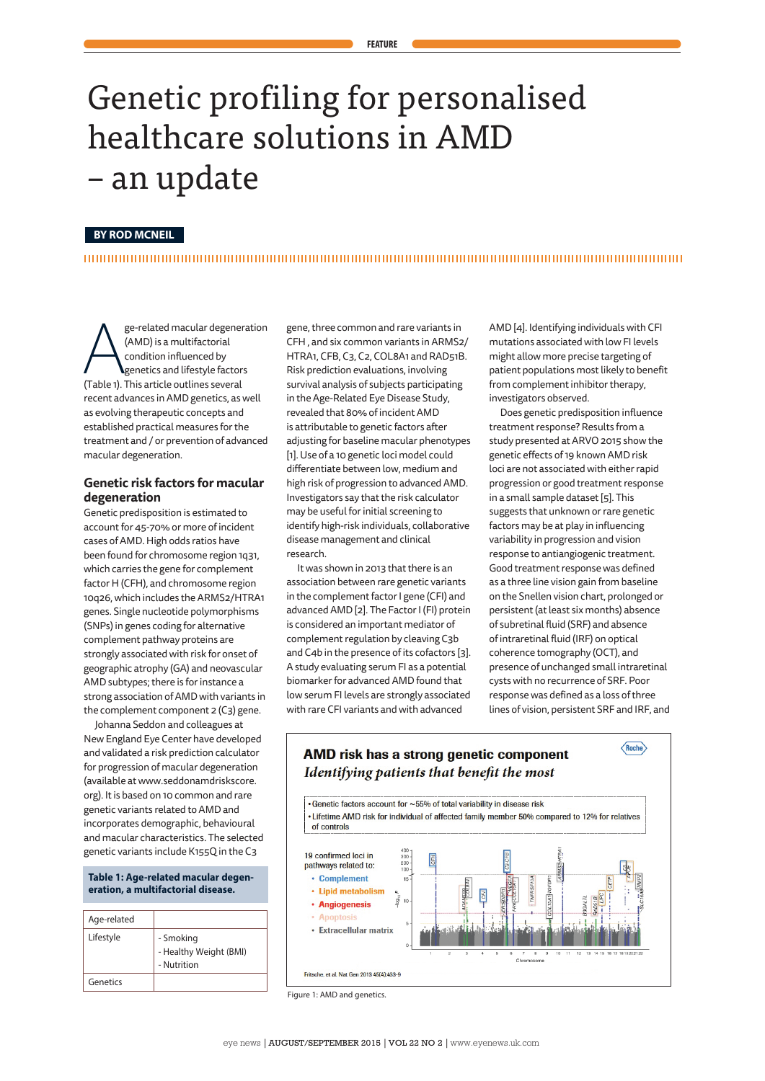# Genetic profiling for personalised healthcare solutions in AMD – an update

# **BY ROD MCNEIL**

ge-related macular degener<br>
(AMD) is a multifactorial<br>
condition influenced by<br>
(Table 1). This article outlines several ge-related macular degeneration (AMD) is a multifactorial condition influenced by genetics and lifestyle factors recent advances in AMD genetics, as well as evolving therapeutic concepts and established practical measures for the treatment and / or prevention of advanced macular degeneration.

# **Genetic risk factors for macular degeneration**

Genetic predisposition is estimated to account for 45-70% or more of incident cases of AMD. High odds ratios have been found for chromosome region 1q31, which carries the gene for complement factor H (CFH), and chromosome region 10q26, which includes the ARMS2/HTRA1 genes. Single nucleotide polymorphisms (SNPs) in genes coding for alternative complement pathway proteins are strongly associated with risk for onset of geographic atrophy (GA) and neovascular AMD subtypes; there is for instance a strong association of AMD with variants in the complement component 2 (C3) gene.

Johanna Seddon and colleagues at New England Eye Center have developed and validated a risk prediction calculator for progression of macular degeneration (available at www.seddonamdriskscore. org). It is based on 10 common and rare genetic variants related to AMD and incorporates demographic, behavioural and macular characteristics. The selected genetic variants include K155Q in the C3

## **Table 1: Age-related macular degeneration, a multifactorial disease.**

| Age-related |                                                    |
|-------------|----------------------------------------------------|
| Lifestyle   | - Smoking<br>- Healthy Weight (BMI)<br>- Nutrition |
| Genetics    |                                                    |

gene, three common and rare variants in CFH , and six common variants in ARMS2/ HTRA1, CFB, C3, C2, COL8A1 and RAD51B. Risk prediction evaluations, involving survival analysis of subjects participating in the Age-Related Eye Disease Study, revealed that 80% of incident AMD is attributable to genetic factors after adjusting for baseline macular phenotypes [1]. Use of a 10 genetic loci model could differentiate between low, medium and high risk of progression to advanced AMD. Investigators say that the risk calculator may be useful for initial screening to identify high-risk individuals, collaborative disease management and clinical research.

It was shown in 2013 that there is an association between rare genetic variants in the complement factor I gene (CFI) and advanced AMD [2]. The Factor I (FI) protein is considered an important mediator of complement regulation by cleaving C3b and C4b in the presence of its cofactors [3]. A study evaluating serum FI as a potential biomarker for advanced AMD found that low serum FI levels are strongly associated with rare CFI variants and with advanced

AMD [4]. Identifying individuals with CFI mutations associated with low FI levels might allow more precise targeting of patient populations most likely to benefit from complement inhibitor therapy, investigators observed.

Does genetic predisposition influence treatment response? Results from a study presented at ARVO 2015 show the genetic effects of 19 known AMD risk loci are not associated with either rapid progression or good treatment response in a small sample dataset [5]. This suggests that unknown or rare genetic factors may be at play in influencing variability in progression and vision response to antiangiogenic treatment. Good treatment response was defined as a three line vision gain from baseline on the Snellen vision chart, prolonged or persistent (at least six months) absence of subretinal fluid (SRF) and absence of intraretinal fluid (IRF) on optical coherence tomography (OCT), and presence of unchanged small intraretinal cysts with no recurrence of SRF. Poor response was defined as a loss of three lines of vision, persistent SRF and IRF, and

Roche



Figure 1: AMD and genetics.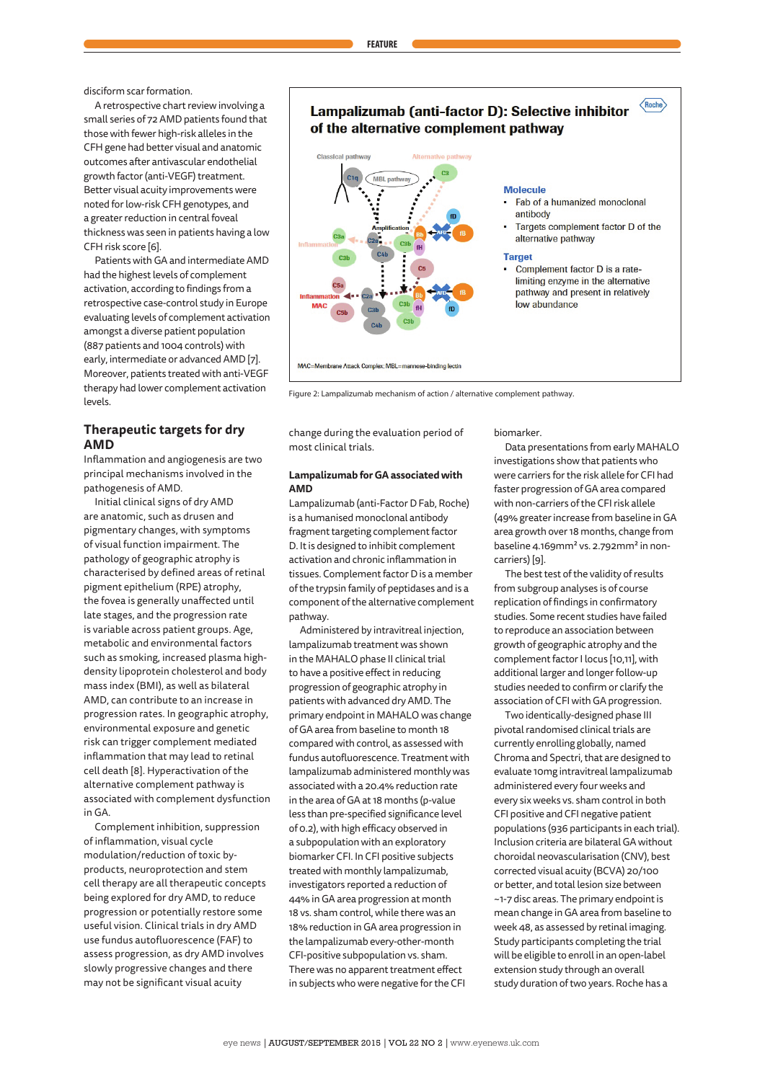disciform scar formation.

A retrospective chart review involving a small series of 72 AMD patients found that those with fewer high-risk alleles in the CFH gene had better visual and anatomic outcomes after antivascular endothelial growth factor (anti-VEGF) treatment. Better visual acuity improvements were noted for low-risk CFH genotypes, and a greater reduction in central foveal thickness was seen in patients having a low CFH risk score [6].

Patients with GA and intermediate AMD had the highest levels of complement activation, according to findings from a retrospective case-control study in Europe evaluating levels of complement activation amongst a diverse patient population (887 patients and 1004 controls) with early, intermediate or advanced AMD [7]. Moreover, patients treated with anti-VEGF therapy had lower complement activation levels.

# **Therapeutic targets for dry AMD**

Inflammation and angiogenesis are two principal mechanisms involved in the pathogenesis of AMD.

Initial clinical signs of dry AMD are anatomic, such as drusen and pigmentary changes, with symptoms of visual function impairment. The pathology of geographic atrophy is characterised by defined areas of retinal pigment epithelium (RPE) atrophy, the fovea is generally unaffected until late stages, and the progression rate is variable across patient groups. Age, metabolic and environmental factors such as smoking, increased plasma highdensity lipoprotein cholesterol and body mass index (BMI), as well as bilateral AMD, can contribute to an increase in progression rates. In geographic atrophy, environmental exposure and genetic risk can trigger complement mediated inflammation that may lead to retinal cell death [8]. Hyperactivation of the alternative complement pathway is associated with complement dysfunction in GA.

Complement inhibition, suppression of inflammation, visual cycle modulation/reduction of toxic byproducts, neuroprotection and stem cell therapy are all therapeutic concepts being explored for dry AMD, to reduce progression or potentially restore some useful vision. Clinical trials in dry AMD use fundus autofluorescence (FAF) to assess progression, as dry AMD involves slowly progressive changes and there may not be significant visual acuity





Figure 2: Lampalizumab mechanism of action / alternative complement pathway.

change during the evaluation period of most clinical trials.

### **Lampalizumab for GA associated with AMD**

Lampalizumab (anti-Factor D Fab, Roche) is a humanised monoclonal antibody fragment targeting complement factor D. It is designed to inhibit complement activation and chronic inflammation in tissues. Complement factor D is a member of the trypsin family of peptidases and is a component of the alternative complement pathway.

Administered by intravitreal injection, lampalizumab treatment was shown in the MAHALO phase II clinical trial to have a positive effect in reducing progression of geographic atrophy in patients with advanced dry AMD. The primary endpoint in MAHALO was change of GA area from baseline to month 18 compared with control, as assessed with fundus autofluorescence. Treatment with lampalizumab administered monthly was associated with a 20.4% reduction rate in the area of GA at 18 months (p-value less than pre-specified significance level of 0.2), with high efficacy observed in a subpopulation with an exploratory biomarker CFI. In CFI positive subjects treated with monthly lampalizumab, investigators reported a reduction of 44% in GA area progression at month 18 vs. sham control, while there was an 18% reduction in GA area progression in the lampalizumab every-other-month CFI-positive subpopulation vs. sham. There was no apparent treatment effect in subjects who were negative for the CFI

biomarker.

Data presentations from early MAHALO investigations show that patients who were carriers for the risk allele for CFI had faster progression of GA area compared with non-carriers of the CFI risk allele (49% greater increase from baseline in GA area growth over 18 months, change from baseline 4.169mm² vs. 2.792mm² in noncarriers) [9].

The best test of the validity of results from subgroup analyses is of course replication of findings in confirmatory studies. Some recent studies have failed to reproduce an association between growth of geographic atrophy and the complement factor I locus [10,11], with additional larger and longer follow-up studies needed to confirm or clarify the association of CFI with GA progression.

Two identically-designed phase III pivotal randomised clinical trials are currently enrolling globally, named Chroma and Spectri, that are designed to evaluate 10mg intravitreal lampalizumab administered every four weeks and every six weeks vs. sham control in both CFI positive and CFI negative patient populations (936 participants in each trial). Inclusion criteria are bilateral GA without choroidal neovascularisation (CNV), best corrected visual acuity (BCVA) 20/100 or better, and total lesion size between ~1-7 disc areas. The primary endpoint is mean change in GA area from baseline to week 48, as assessed by retinal imaging. Study participants completing the trial will be eligible to enroll in an open-label extension study through an overall study duration of two years. Roche has a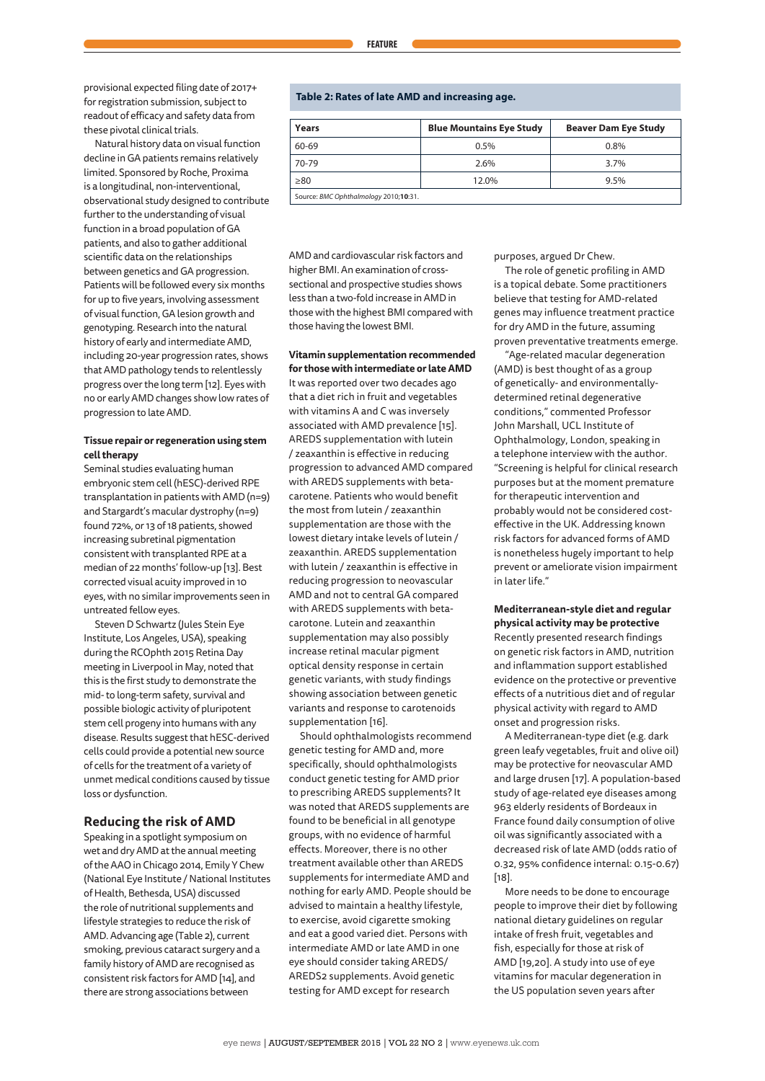provisional expected filing date of 2017+ for registration submission, subject to readout of efficacy and safety data from these pivotal clinical trials.

Natural history data on visual function decline in GA patients remains relatively limited. Sponsored by Roche, Proxima is a longitudinal, non-interventional, observational study designed to contribute further to the understanding of visual function in a broad population of GA patients, and also to gather additional scientific data on the relationships between genetics and GA progression. Patients will be followed every six months for up to five years, involving assessment of visual function, GA lesion growth and genotyping. Research into the natural history of early and intermediate AMD, including 20-year progression rates, shows that AMD pathology tends to relentlessly progress over the long term [12]. Eyes with no or early AMD changes show low rates of progression to late AMD.

## **Tissue repair or regeneration using stem cell therapy**

Seminal studies evaluating human embryonic stem cell (hESC)-derived RPE transplantation in patients with AMD (n=9) and Stargardt's macular dystrophy (n=9) found 72%, or 13 of 18 patients, showed increasing subretinal pigmentation consistent with transplanted RPE at a median of 22 months' follow-up [13]. Best corrected visual acuity improved in 10 eyes, with no similar improvements seen in untreated fellow eyes.

Steven D Schwartz (Jules Stein Eye Institute, Los Angeles, USA), speaking during the RCOphth 2015 Retina Day meeting in Liverpool in May, noted that this is the first study to demonstrate the mid- to long-term safety, survival and possible biologic activity of pluripotent stem cell progeny into humans with any disease. Results suggest that hESC-derived cells could provide a potential new source of cells for the treatment of a variety of unmet medical conditions caused by tissue loss or dysfunction.

# **Reducing the risk of AMD**

Speaking in a spotlight symposium on wet and dry AMD at the annual meeting of the AAO in Chicago 2014, Emily Y Chew (National Eye Institute / National Institutes of Health, Bethesda, USA) discussed the role of nutritional supplements and lifestyle strategies to reduce the risk of AMD. Advancing age (Table 2), current smoking, previous cataract surgery and a family history of AMD are recognised as consistent risk factors for AMD [14], and there are strong associations between

## **Table 2: Rates of late AMD and increasing age.**

| Years | <b>Blue Mountains Eye Study</b> | <b>Beaver Dam Eye Study</b> |
|-------|---------------------------------|-----------------------------|
| 60-69 | 0.5%                            | 0.8%                        |
| 70-79 | 2.6%                            | 3.7%                        |
| > 80  | 12.0%                           | 9.5%                        |

AMD and cardiovascular risk factors and higher BMI. An examination of crosssectional and prospective studies shows less than a two-fold increase in AMD in those with the highest BMI compared with those having the lowest BMI.

#### **Vitamin supplementation recommended for those with intermediate or late AMD**

It was reported over two decades ago that a diet rich in fruit and vegetables with vitamins A and C was inversely associated with AMD prevalence [15]. AREDS supplementation with lutein / zeaxanthin is effective in reducing progression to advanced AMD compared with AREDS supplements with betacarotene. Patients who would benefit the most from lutein / zeaxanthin supplementation are those with the lowest dietary intake levels of lutein / zeaxanthin. AREDS supplementation with lutein / zeaxanthin is effective in reducing progression to neovascular AMD and not to central GA compared with AREDS supplements with betacarotone. Lutein and zeaxanthin supplementation may also possibly increase retinal macular pigment optical density response in certain genetic variants, with study findings showing association between genetic variants and response to carotenoids supplementation [16].

Should ophthalmologists recommend genetic testing for AMD and, more specifically, should ophthalmologists conduct genetic testing for AMD prior to prescribing AREDS supplements? It was noted that AREDS supplements are found to be beneficial in all genotype groups, with no evidence of harmful effects. Moreover, there is no other treatment available other than AREDS supplements for intermediate AMD and nothing for early AMD. People should be advised to maintain a healthy lifestyle, to exercise, avoid cigarette smoking and eat a good varied diet. Persons with intermediate AMD or late AMD in one eye should consider taking AREDS/ AREDS2 supplements. Avoid genetic testing for AMD except for research

purposes, argued Dr Chew.

The role of genetic profiling in AMD is a topical debate. Some practitioners believe that testing for AMD-related genes may influence treatment practice for dry AMD in the future, assuming proven preventative treatments emerge.

"Age-related macular degeneration (AMD) is best thought of as a group of genetically- and environmentallydetermined retinal degenerative conditions," commented Professor John Marshall, UCL Institute of Ophthalmology, London, speaking in a telephone interview with the author. "Screening is helpful for clinical research purposes but at the moment premature for therapeutic intervention and probably would not be considered costeffective in the UK. Addressing known risk factors for advanced forms of AMD is nonetheless hugely important to help prevent or ameliorate vision impairment in later life."

## **Mediterranean-style diet and regular physical activity may be protective** Recently presented research findings

on genetic risk factors in AMD, nutrition and inflammation support established evidence on the protective or preventive effects of a nutritious diet and of regular physical activity with regard to AMD onset and progression risks.

A Mediterranean-type diet (e.g. dark green leafy vegetables, fruit and olive oil) may be protective for neovascular AMD and large drusen [17]. A population-based study of age-related eye diseases among 963 elderly residents of Bordeaux in France found daily consumption of olive oil was significantly associated with a decreased risk of late AMD (odds ratio of 0.32, 95% confidence internal: 0.15-0.67) [18].

More needs to be done to encourage people to improve their diet by following national dietary guidelines on regular intake of fresh fruit, vegetables and fish, especially for those at risk of AMD [19,20]. A study into use of eye vitamins for macular degeneration in the US population seven years after